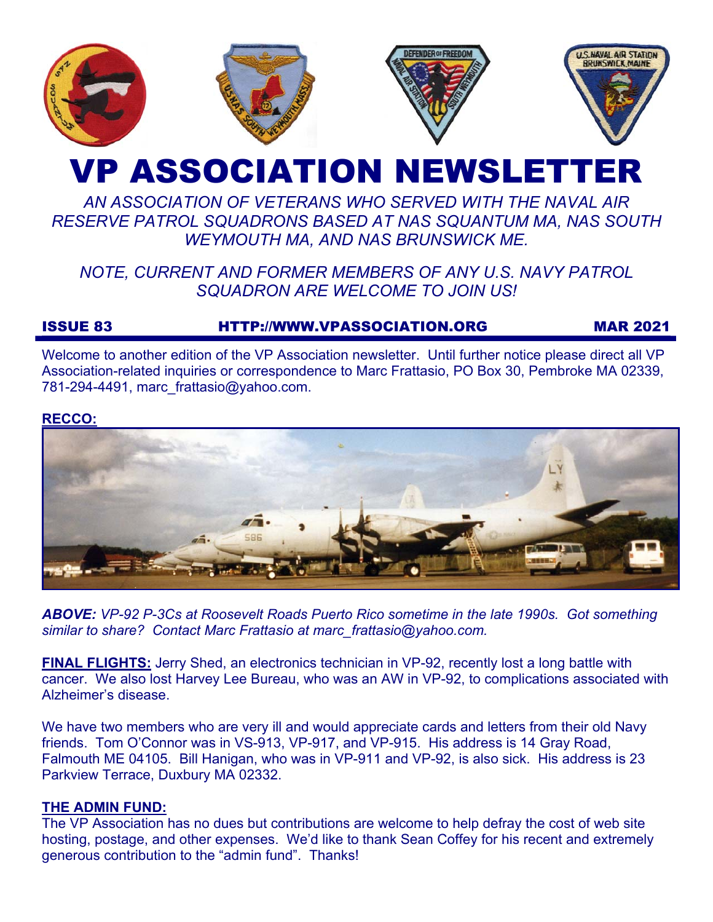

# VP ASSOCIATION NEWSLETTER

# *AN ASSOCIATION OF VETERANS WHO SERVED WITH THE NAVAL AIR RESERVE PATROL SQUADRONS BASED AT NAS SQUANTUM MA, NAS SOUTH WEYMOUTH MA, AND NAS BRUNSWICK ME.*

# *NOTE, CURRENT AND FORMER MEMBERS OF ANY U.S. NAVY PATROL SQUADRON ARE WELCOME TO JOIN US!*

# ISSUE 83 HTTP://WWW.VPASSOCIATION.ORG MAR 2021

Welcome to another edition of the VP Association newsletter. Until further notice please direct all VP Association-related inquiries or correspondence to Marc Frattasio, PO Box 30, Pembroke MA 02339, 781-294-4491, marc\_frattasio@yahoo.com.

#### **RECCO:**



*ABOVE: VP-92 P-3Cs at Roosevelt Roads Puerto Rico sometime in the late 1990s. Got something similar to share? Contact Marc Frattasio at marc\_frattasio@yahoo.com.* 

**FINAL FLIGHTS:** Jerry Shed, an electronics technician in VP-92, recently lost a long battle with cancer. We also lost Harvey Lee Bureau, who was an AW in VP-92, to complications associated with Alzheimer's disease.

We have two members who are very ill and would appreciate cards and letters from their old Navy friends. Tom O'Connor was in VS-913, VP-917, and VP-915. His address is 14 Gray Road, Falmouth ME 04105. Bill Hanigan, who was in VP-911 and VP-92, is also sick. His address is 23 Parkview Terrace, Duxbury MA 02332.

#### **THE ADMIN FUND:**

The VP Association has no dues but contributions are welcome to help defray the cost of web site hosting, postage, and other expenses. We'd like to thank Sean Coffey for his recent and extremely generous contribution to the "admin fund". Thanks!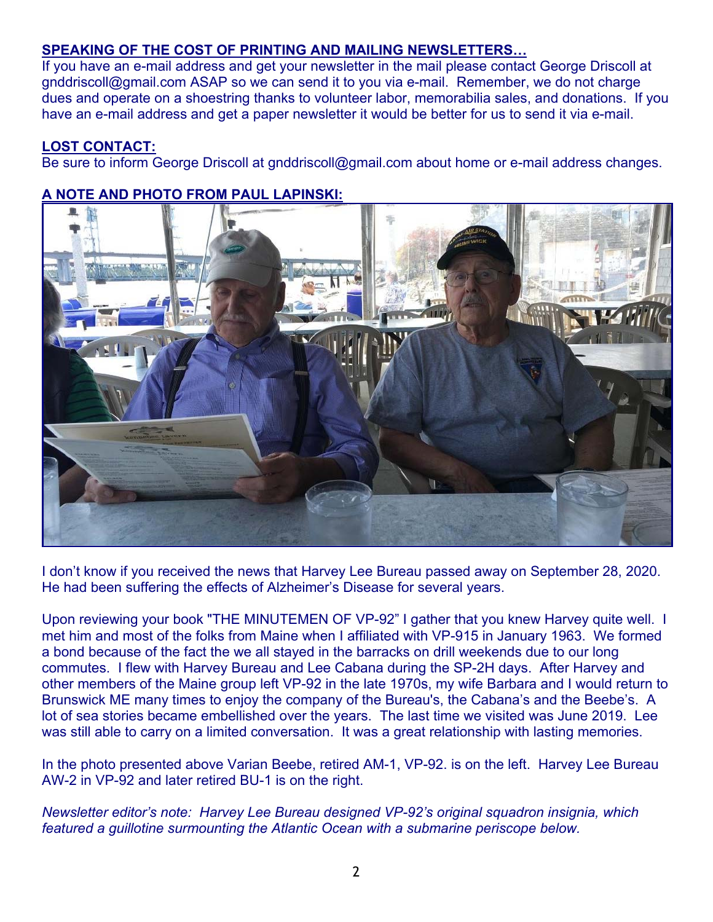# **SPEAKING OF THE COST OF PRINTING AND MAILING NEWSLETTERS…**

If you have an e-mail address and get your newsletter in the mail please contact George Driscoll at gnddriscoll@gmail.com ASAP so we can send it to you via e-mail. Remember, we do not charge dues and operate on a shoestring thanks to volunteer labor, memorabilia sales, and donations. If you have an e-mail address and get a paper newsletter it would be better for us to send it via e-mail.

# **LOST CONTACT:**

Be sure to inform George Driscoll at gnddriscoll@gmail.com about home or e-mail address changes.

# **A NOTE AND PHOTO FROM PAUL LAPINSKI:**



I don't know if you received the news that Harvey Lee Bureau passed away on September 28, 2020. He had been suffering the effects of Alzheimer's Disease for several years.

Upon reviewing your book "THE MINUTEMEN OF VP-92" I gather that you knew Harvey quite well. I met him and most of the folks from Maine when I affiliated with VP-915 in January 1963. We formed a bond because of the fact the we all stayed in the barracks on drill weekends due to our long commutes. I flew with Harvey Bureau and Lee Cabana during the SP-2H days. After Harvey and other members of the Maine group left VP-92 in the late 1970s, my wife Barbara and I would return to Brunswick ME many times to enjoy the company of the Bureau's, the Cabana's and the Beebe's. A lot of sea stories became embellished over the years. The last time we visited was June 2019. Lee was still able to carry on a limited conversation. It was a great relationship with lasting memories.

In the photo presented above Varian Beebe, retired AM-1, VP-92. is on the left. Harvey Lee Bureau AW-2 in VP-92 and later retired BU-1 is on the right.

*Newsletter editor's note: Harvey Lee Bureau designed VP-92's original squadron insignia, which featured a guillotine surmounting the Atlantic Ocean with a submarine periscope below.*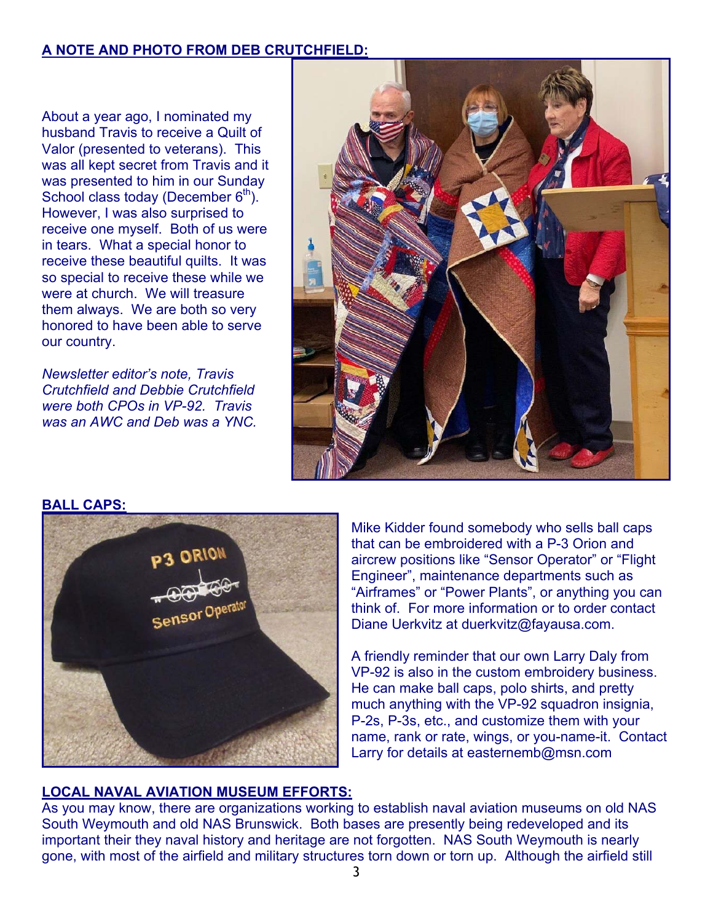# **A NOTE AND PHOTO FROM DEB CRUTCHFIELD:**

About a year ago, I nominated my husband Travis to receive a Quilt of Valor (presented to veterans). This was all kept secret from Travis and it was presented to him in our Sunday School class today (December  $6<sup>th</sup>$ ). However, I was also surprised to receive one myself. Both of us were in tears. What a special honor to receive these beautiful quilts. It was so special to receive these while we were at church. We will treasure them always. We are both so very honored to have been able to serve our country.

*Newsletter editor's note, Travis Crutchfield and Debbie Crutchfield were both CPOs in VP-92. Travis was an AWC and Deb was a YNC.*



# **BALL CAPS:**



Mike Kidder found somebody who sells ball caps that can be embroidered with a P-3 Orion and aircrew positions like "Sensor Operator" or "Flight Engineer", maintenance departments such as "Airframes" or "Power Plants", or anything you can think of. For more information or to order contact Diane Uerkvitz at duerkvitz@fayausa.com.

A friendly reminder that our own Larry Daly from VP-92 is also in the custom embroidery business. He can make ball caps, polo shirts, and pretty much anything with the VP-92 squadron insignia, P-2s, P-3s, etc., and customize them with your name, rank or rate, wings, or you-name-it. Contact Larry for details at easternemb@msn.com

#### **LOCAL NAVAL AVIATION MUSEUM EFFORTS:**

As you may know, there are organizations working to establish naval aviation museums on old NAS South Weymouth and old NAS Brunswick. Both bases are presently being redeveloped and its important their they naval history and heritage are not forgotten. NAS South Weymouth is nearly gone, with most of the airfield and military structures torn down or torn up. Although the airfield still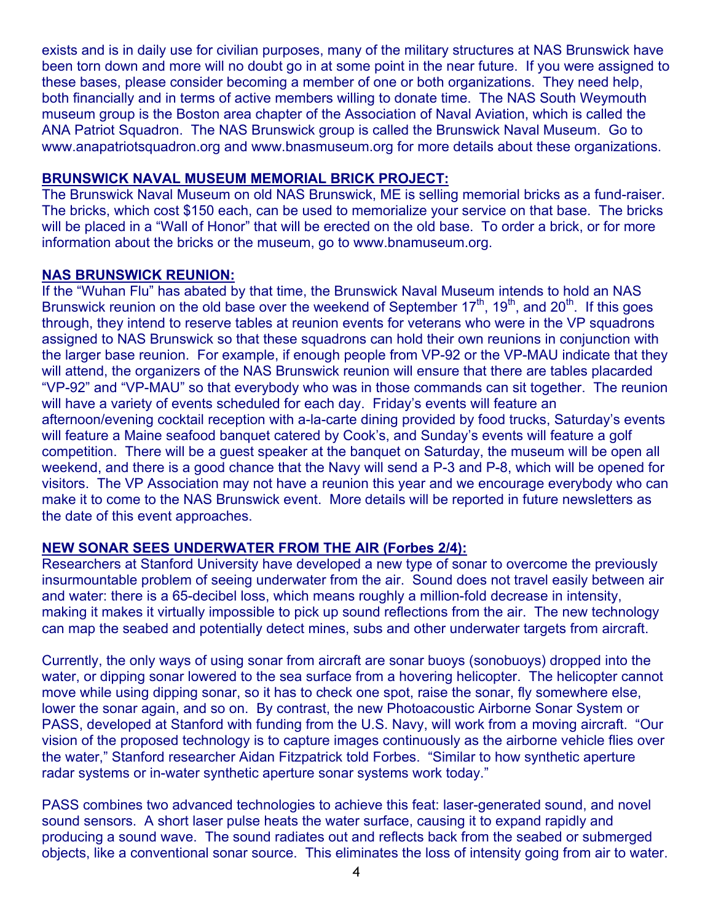exists and is in daily use for civilian purposes, many of the military structures at NAS Brunswick have been torn down and more will no doubt go in at some point in the near future. If you were assigned to these bases, please consider becoming a member of one or both organizations. They need help, both financially and in terms of active members willing to donate time. The NAS South Weymouth museum group is the Boston area chapter of the Association of Naval Aviation, which is called the ANA Patriot Squadron. The NAS Brunswick group is called the Brunswick Naval Museum. Go to www.anapatriotsquadron.org and www.bnasmuseum.org for more details about these organizations.

#### **BRUNSWICK NAVAL MUSEUM MEMORIAL BRICK PROJECT:**

The Brunswick Naval Museum on old NAS Brunswick, ME is selling memorial bricks as a fund-raiser. The bricks, which cost \$150 each, can be used to memorialize your service on that base. The bricks will be placed in a "Wall of Honor" that will be erected on the old base. To order a brick, or for more information about the bricks or the museum, go to www.bnamuseum.org.

#### **NAS BRUNSWICK REUNION:**

If the "Wuhan Flu" has abated by that time, the Brunswick Naval Museum intends to hold an NAS Brunswick reunion on the old base over the weekend of September  $17<sup>th</sup>$ ,  $19<sup>th</sup>$ , and  $20<sup>th</sup>$ . If this goes through, they intend to reserve tables at reunion events for veterans who were in the VP squadrons assigned to NAS Brunswick so that these squadrons can hold their own reunions in conjunction with the larger base reunion. For example, if enough people from VP-92 or the VP-MAU indicate that they will attend, the organizers of the NAS Brunswick reunion will ensure that there are tables placarded "VP-92" and "VP-MAU" so that everybody who was in those commands can sit together. The reunion will have a variety of events scheduled for each day. Friday's events will feature an afternoon/evening cocktail reception with a-la-carte dining provided by food trucks, Saturday's events will feature a Maine seafood banquet catered by Cook's, and Sunday's events will feature a golf competition. There will be a guest speaker at the banquet on Saturday, the museum will be open all weekend, and there is a good chance that the Navy will send a P-3 and P-8, which will be opened for visitors. The VP Association may not have a reunion this year and we encourage everybody who can make it to come to the NAS Brunswick event. More details will be reported in future newsletters as the date of this event approaches.

#### **NEW SONAR SEES UNDERWATER FROM THE AIR (Forbes 2/4):**

Researchers at Stanford University have developed a new type of sonar to overcome the previously insurmountable problem of seeing underwater from the air. Sound does not travel easily between air and water: there is a 65-decibel loss, which means roughly a million-fold decrease in intensity, making it makes it virtually impossible to pick up sound reflections from the air. The new technology can map the seabed and potentially detect mines, subs and other underwater targets from aircraft.

Currently, the only ways of using sonar from aircraft are sonar buoys (sonobuoys) dropped into the water, or dipping sonar lowered to the sea surface from a hovering helicopter. The helicopter cannot move while using dipping sonar, so it has to check one spot, raise the sonar, fly somewhere else, lower the sonar again, and so on. By contrast, the new Photoacoustic Airborne Sonar System or PASS, developed at Stanford with funding from the U.S. Navy, will work from a moving aircraft. "Our vision of the proposed technology is to capture images continuously as the airborne vehicle flies over the water," Stanford researcher Aidan Fitzpatrick told Forbes. "Similar to how synthetic aperture radar systems or in-water synthetic aperture sonar systems work today."

PASS combines two advanced technologies to achieve this feat: laser-generated sound, and novel sound sensors. A short laser pulse heats the water surface, causing it to expand rapidly and producing a sound wave. The sound radiates out and reflects back from the seabed or submerged objects, like a conventional sonar source. This eliminates the loss of intensity going from air to water.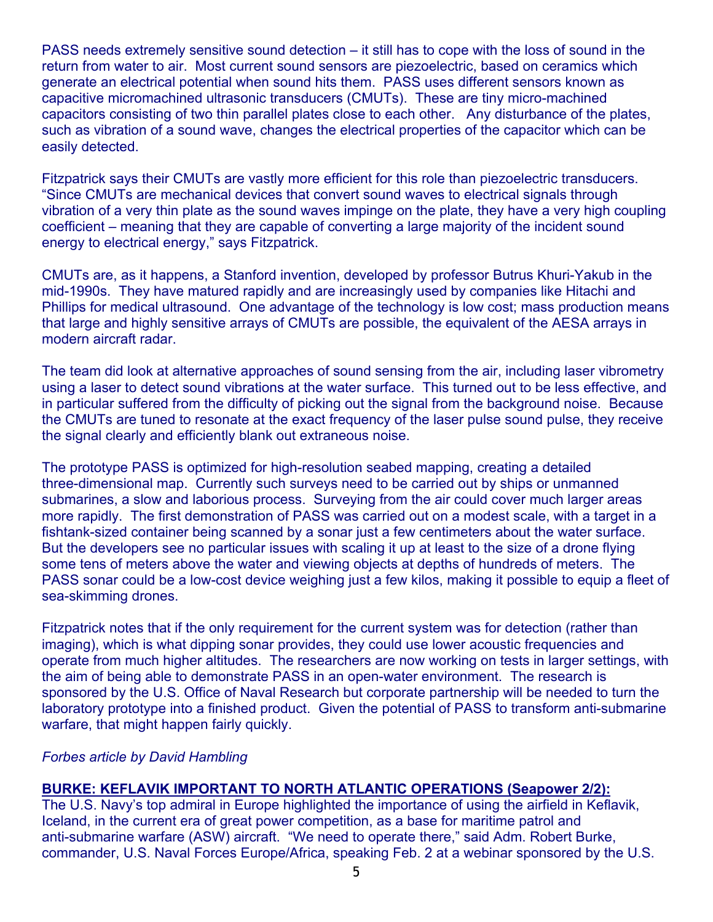PASS needs extremely sensitive sound detection – it still has to cope with the loss of sound in the return from water to air. Most current sound sensors are piezoelectric, based on ceramics which generate an electrical potential when sound hits them. PASS uses different sensors known as capacitive micromachined ultrasonic transducers (CMUTs). These are tiny micro-machined capacitors consisting of two thin parallel plates close to each other. Any disturbance of the plates, such as vibration of a sound wave, changes the electrical properties of the capacitor which can be easily detected.

Fitzpatrick says their CMUTs are vastly more efficient for this role than piezoelectric transducers. "Since CMUTs are mechanical devices that convert sound waves to electrical signals through vibration of a very thin plate as the sound waves impinge on the plate, they have a very high coupling coefficient – meaning that they are capable of converting a large majority of the incident sound energy to electrical energy," says Fitzpatrick.

CMUTs are, as it happens, a Stanford invention, developed by professor Butrus Khuri-Yakub in the mid-1990s. They have matured rapidly and are increasingly used by companies like Hitachi and Phillips for medical ultrasound. One advantage of the technology is low cost; mass production means that large and highly sensitive arrays of CMUTs are possible, the equivalent of the AESA arrays in modern aircraft radar.

The team did look at alternative approaches of sound sensing from the air, including laser vibrometry using a laser to detect sound vibrations at the water surface. This turned out to be less effective, and in particular suffered from the difficulty of picking out the signal from the background noise. Because the CMUTs are tuned to resonate at the exact frequency of the laser pulse sound pulse, they receive the signal clearly and efficiently blank out extraneous noise.

The prototype PASS is optimized for high-resolution seabed mapping, creating a detailed three-dimensional map. Currently such surveys need to be carried out by ships or unmanned submarines, a slow and laborious process. Surveying from the air could cover much larger areas more rapidly. The first demonstration of PASS was carried out on a modest scale, with a target in a fishtank-sized container being scanned by a sonar just a few centimeters about the water surface. But the developers see no particular issues with scaling it up at least to the size of a drone flying some tens of meters above the water and viewing objects at depths of hundreds of meters. The PASS sonar could be a low-cost device weighing just a few kilos, making it possible to equip a fleet of sea-skimming drones.

Fitzpatrick notes that if the only requirement for the current system was for detection (rather than imaging), which is what dipping sonar provides, they could use lower acoustic frequencies and operate from much higher altitudes. The researchers are now working on tests in larger settings, with the aim of being able to demonstrate PASS in an open-water environment. The research is sponsored by the U.S. Office of Naval Research but corporate partnership will be needed to turn the laboratory prototype into a finished product. Given the potential of PASS to transform anti-submarine warfare, that might happen fairly quickly.

#### *Forbes article by David Hambling*

#### **BURKE: KEFLAVIK IMPORTANT TO NORTH ATLANTIC OPERATIONS (Seapower 2/2):**

The U.S. Navy's top admiral in Europe highlighted the importance of using the airfield in Keflavik, Iceland, in the current era of great power competition, as a base for maritime patrol and anti-submarine warfare (ASW) aircraft. "We need to operate there," said Adm. Robert Burke, commander, U.S. Naval Forces Europe/Africa, speaking Feb. 2 at a webinar sponsored by the U.S.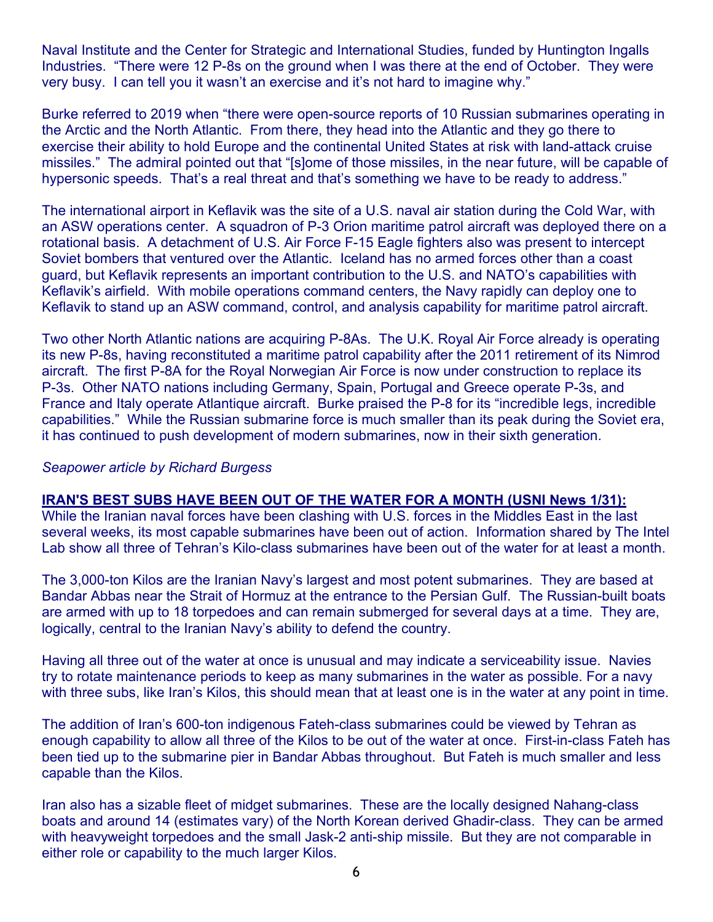Naval Institute and the Center for Strategic and International Studies, funded by Huntington Ingalls Industries. "There were 12 P-8s on the ground when I was there at the end of October. They were very busy. I can tell you it wasn't an exercise and it's not hard to imagine why."

Burke referred to 2019 when "there were open-source reports of 10 Russian submarines operating in the Arctic and the North Atlantic. From there, they head into the Atlantic and they go there to exercise their ability to hold Europe and the continental United States at risk with land-attack cruise missiles." The admiral pointed out that "[s]ome of those missiles, in the near future, will be capable of hypersonic speeds. That's a real threat and that's something we have to be ready to address."

The international airport in Keflavik was the site of a U.S. naval air station during the Cold War, with an ASW operations center. A squadron of P-3 Orion maritime patrol aircraft was deployed there on a rotational basis. A detachment of U.S. Air Force F-15 Eagle fighters also was present to intercept Soviet bombers that ventured over the Atlantic. Iceland has no armed forces other than a coast guard, but Keflavik represents an important contribution to the U.S. and NATO's capabilities with Keflavik's airfield. With mobile operations command centers, the Navy rapidly can deploy one to Keflavik to stand up an ASW command, control, and analysis capability for maritime patrol aircraft.

Two other North Atlantic nations are acquiring P-8As. The U.K. Royal Air Force already is operating its new P-8s, having reconstituted a maritime patrol capability after the 2011 retirement of its Nimrod aircraft. The first P-8A for the Royal Norwegian Air Force is now under construction to replace its P-3s. Other NATO nations including Germany, Spain, Portugal and Greece operate P-3s, and France and Italy operate Atlantique aircraft. Burke praised the P-8 for its "incredible legs, incredible capabilities." While the Russian submarine force is much smaller than its peak during the Soviet era, it has continued to push development of modern submarines, now in their sixth generation.

#### *Seapower article by Richard Burgess*

#### **IRAN'S BEST SUBS HAVE BEEN OUT OF THE WATER FOR A MONTH (USNI News 1/31):**

While the Iranian naval forces have been clashing with U.S. forces in the Middles East in the last several weeks, its most capable submarines have been out of action. Information shared by The Intel Lab show all three of Tehran's Kilo-class submarines have been out of the water for at least a month.

The 3,000-ton Kilos are the Iranian Navy's largest and most potent submarines. They are based at Bandar Abbas near the Strait of Hormuz at the entrance to the Persian Gulf. The Russian-built boats are armed with up to 18 torpedoes and can remain submerged for several days at a time. They are, logically, central to the Iranian Navy's ability to defend the country.

Having all three out of the water at once is unusual and may indicate a serviceability issue. Navies try to rotate maintenance periods to keep as many submarines in the water as possible. For a navy with three subs, like Iran's Kilos, this should mean that at least one is in the water at any point in time.

The addition of Iran's 600-ton indigenous Fateh-class submarines could be viewed by Tehran as enough capability to allow all three of the Kilos to be out of the water at once. First-in-class Fateh has been tied up to the submarine pier in Bandar Abbas throughout. But Fateh is much smaller and less capable than the Kilos.

Iran also has a sizable fleet of midget submarines. These are the locally designed Nahang-class boats and around 14 (estimates vary) of the North Korean derived Ghadir-class. They can be armed with heavyweight torpedoes and the small Jask-2 anti-ship missile. But they are not comparable in either role or capability to the much larger Kilos.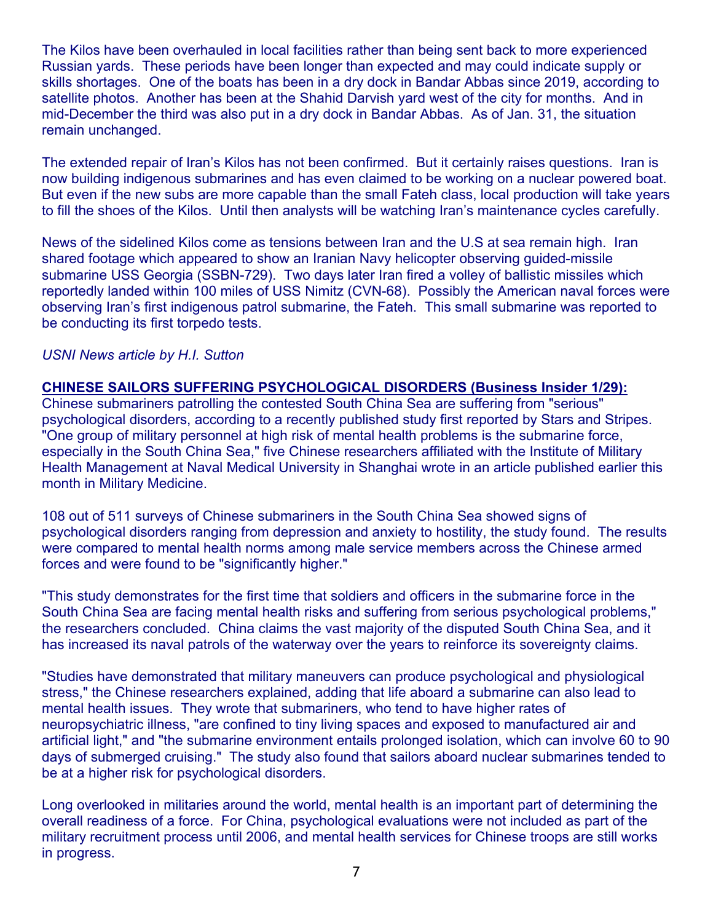The Kilos have been overhauled in local facilities rather than being sent back to more experienced Russian yards. These periods have been longer than expected and may could indicate supply or skills shortages. One of the boats has been in a dry dock in Bandar Abbas since 2019, according to satellite photos. Another has been at the Shahid Darvish yard west of the city for months. And in mid-December the third was also put in a dry dock in Bandar Abbas. As of Jan. 31, the situation remain unchanged.

The extended repair of Iran's Kilos has not been confirmed. But it certainly raises questions. Iran is now building indigenous submarines and has even claimed to be working on a nuclear powered boat. But even if the new subs are more capable than the small Fateh class, local production will take years to fill the shoes of the Kilos. Until then analysts will be watching Iran's maintenance cycles carefully.

News of the sidelined Kilos come as tensions between Iran and the U.S at sea remain high. Iran shared footage which appeared to show an Iranian Navy helicopter observing guided-missile submarine USS Georgia (SSBN-729). Two days later Iran fired a volley of ballistic missiles which reportedly landed within 100 miles of USS Nimitz (CVN-68). Possibly the American naval forces were observing Iran's first indigenous patrol submarine, the Fateh. This small submarine was reported to be conducting its first torpedo tests.

#### *USNI News article by H.I. Sutton*

#### **CHINESE SAILORS SUFFERING PSYCHOLOGICAL DISORDERS (Business Insider 1/29):**

Chinese submariners patrolling the contested South China Sea are suffering from "serious" psychological disorders, according to a recently published study first reported by Stars and Stripes. "One group of military personnel at high risk of mental health problems is the submarine force, especially in the South China Sea," five Chinese researchers affiliated with the Institute of Military Health Management at Naval Medical University in Shanghai wrote in an article published earlier this month in Military Medicine.

108 out of 511 surveys of Chinese submariners in the South China Sea showed signs of psychological disorders ranging from depression and anxiety to hostility, the study found. The results were compared to mental health norms among male service members across the Chinese armed forces and were found to be "significantly higher."

"This study demonstrates for the first time that soldiers and officers in the submarine force in the South China Sea are facing mental health risks and suffering from serious psychological problems," the researchers concluded. China claims the vast majority of the disputed South China Sea, and it has increased its naval patrols of the waterway over the years to reinforce its sovereignty claims.

"Studies have demonstrated that military maneuvers can produce psychological and physiological stress," the Chinese researchers explained, adding that life aboard a submarine can also lead to mental health issues. They wrote that submariners, who tend to have higher rates of neuropsychiatric illness, "are confined to tiny living spaces and exposed to manufactured air and artificial light," and "the submarine environment entails prolonged isolation, which can involve 60 to 90 days of submerged cruising." The study also found that sailors aboard nuclear submarines tended to be at a higher risk for psychological disorders.

Long overlooked in militaries around the world, mental health is an important part of determining the overall readiness of a force. For China, psychological evaluations were not included as part of the military recruitment process until 2006, and mental health services for Chinese troops are still works in progress.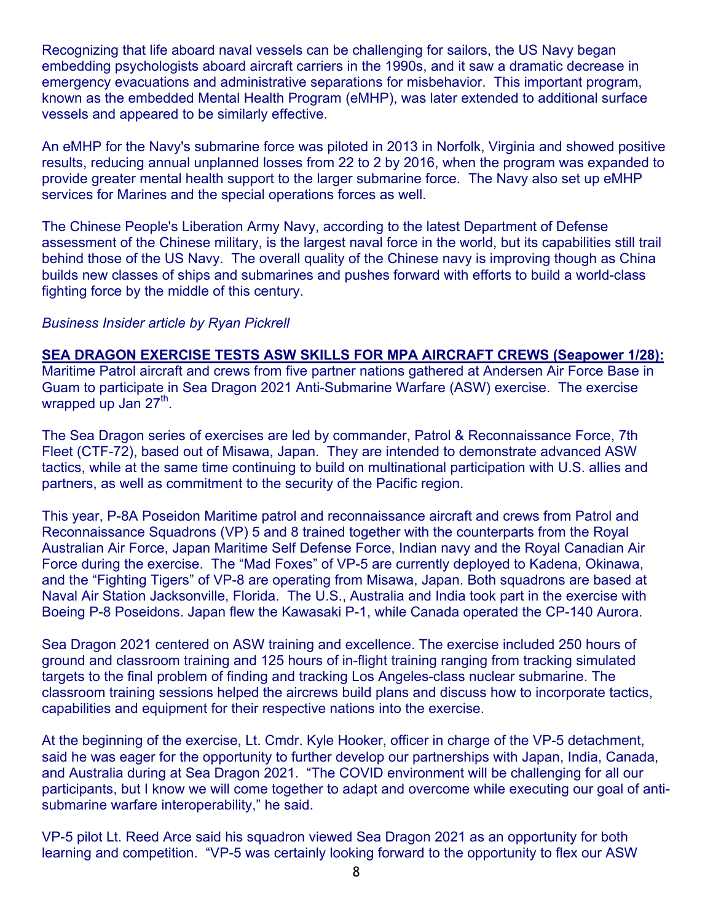Recognizing that life aboard naval vessels can be challenging for sailors, the US Navy began embedding psychologists aboard aircraft carriers in the 1990s, and it saw a dramatic decrease in emergency evacuations and administrative separations for misbehavior. This important program, known as the embedded Mental Health Program (eMHP), was later extended to additional surface vessels and appeared to be similarly effective.

An eMHP for the Navy's submarine force was piloted in 2013 in Norfolk, Virginia and showed positive results, reducing annual unplanned losses from 22 to 2 by 2016, when the program was expanded to provide greater mental health support to the larger submarine force. The Navy also set up eMHP services for Marines and the special operations forces as well.

The Chinese People's Liberation Army Navy, according to the latest Department of Defense assessment of the Chinese military, is the largest naval force in the world, but its capabilities still trail behind those of the US Navy. The overall quality of the Chinese navy is improving though as China builds new classes of ships and submarines and pushes forward with efforts to build a world-class fighting force by the middle of this century.

#### *Business Insider article by Ryan Pickrell*

#### **SEA DRAGON EXERCISE TESTS ASW SKILLS FOR MPA AIRCRAFT CREWS (Seapower 1/28):**

Maritime Patrol aircraft and crews from five partner nations gathered at Andersen Air Force Base in Guam to participate in Sea Dragon 2021 Anti-Submarine Warfare (ASW) exercise. The exercise wrapped up Jan  $27<sup>th</sup>$ .

The Sea Dragon series of exercises are led by commander, Patrol & Reconnaissance Force, 7th Fleet (CTF-72), based out of Misawa, Japan. They are intended to demonstrate advanced ASW tactics, while at the same time continuing to build on multinational participation with U.S. allies and partners, as well as commitment to the security of the Pacific region.

This year, P-8A Poseidon Maritime patrol and reconnaissance aircraft and crews from Patrol and Reconnaissance Squadrons (VP) 5 and 8 trained together with the counterparts from the Royal Australian Air Force, Japan Maritime Self Defense Force, Indian navy and the Royal Canadian Air Force during the exercise. The "Mad Foxes" of VP-5 are currently deployed to Kadena, Okinawa, and the "Fighting Tigers" of VP-8 are operating from Misawa, Japan. Both squadrons are based at Naval Air Station Jacksonville, Florida. The U.S., Australia and India took part in the exercise with Boeing P-8 Poseidons. Japan flew the Kawasaki P-1, while Canada operated the CP-140 Aurora.

Sea Dragon 2021 centered on ASW training and excellence. The exercise included 250 hours of ground and classroom training and 125 hours of in-flight training ranging from tracking simulated targets to the final problem of finding and tracking Los Angeles-class nuclear submarine. The classroom training sessions helped the aircrews build plans and discuss how to incorporate tactics, capabilities and equipment for their respective nations into the exercise.

At the beginning of the exercise, Lt. Cmdr. Kyle Hooker, officer in charge of the VP-5 detachment, said he was eager for the opportunity to further develop our partnerships with Japan, India, Canada, and Australia during at Sea Dragon 2021. "The COVID environment will be challenging for all our participants, but I know we will come together to adapt and overcome while executing our goal of antisubmarine warfare interoperability," he said.

VP-5 pilot Lt. Reed Arce said his squadron viewed Sea Dragon 2021 as an opportunity for both learning and competition. "VP-5 was certainly looking forward to the opportunity to flex our ASW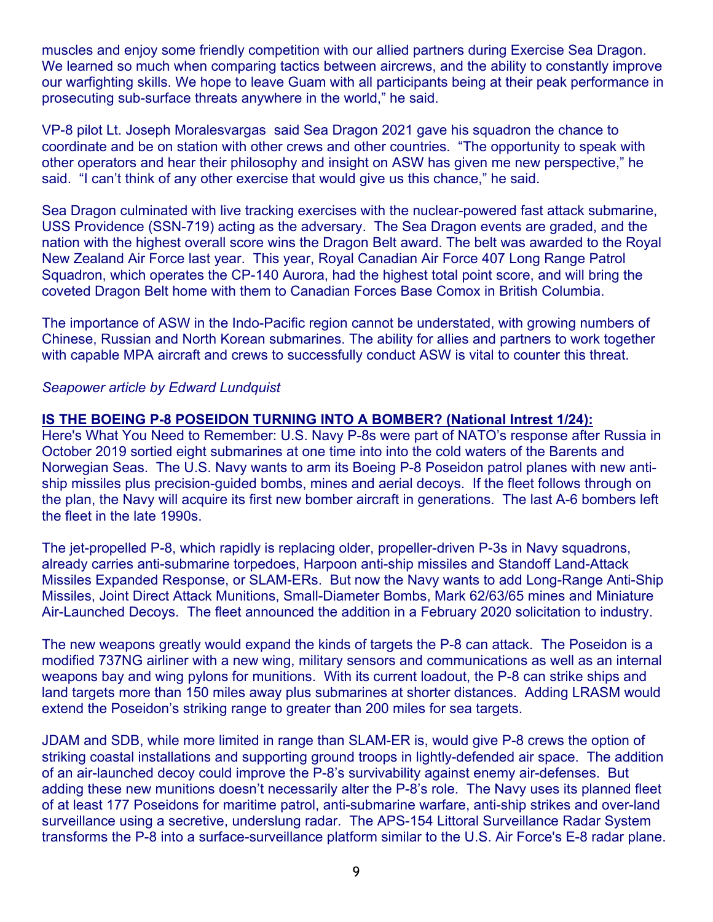muscles and enjoy some friendly competition with our allied partners during Exercise Sea Dragon. We learned so much when comparing tactics between aircrews, and the ability to constantly improve our warfighting skills. We hope to leave Guam with all participants being at their peak performance in prosecuting sub-surface threats anywhere in the world," he said.

VP-8 pilot Lt. Joseph Moralesvargas said Sea Dragon 2021 gave his squadron the chance to coordinate and be on station with other crews and other countries. "The opportunity to speak with other operators and hear their philosophy and insight on ASW has given me new perspective," he said. "I can't think of any other exercise that would give us this chance," he said.

Sea Dragon culminated with live tracking exercises with the nuclear-powered fast attack submarine, USS Providence (SSN-719) acting as the adversary. The Sea Dragon events are graded, and the nation with the highest overall score wins the Dragon Belt award. The belt was awarded to the Royal New Zealand Air Force last year. This year, Royal Canadian Air Force 407 Long Range Patrol Squadron, which operates the CP-140 Aurora, had the highest total point score, and will bring the coveted Dragon Belt home with them to Canadian Forces Base Comox in British Columbia.

The importance of ASW in the Indo-Pacific region cannot be understated, with growing numbers of Chinese, Russian and North Korean submarines. The ability for allies and partners to work together with capable MPA aircraft and crews to successfully conduct ASW is vital to counter this threat.

#### *Seapower article by Edward Lundquist*

#### **IS THE BOEING P-8 POSEIDON TURNING INTO A BOMBER? (National Intrest 1/24):**

Here's What You Need to Remember: U.S. Navy P-8s were part of NATO's response after Russia in October 2019 sortied eight submarines at one time into into the cold waters of the Barents and Norwegian Seas. The U.S. Navy wants to arm its Boeing P-8 Poseidon patrol planes with new antiship missiles plus precision-guided bombs, mines and aerial decoys. If the fleet follows through on the plan, the Navy will acquire its first new bomber aircraft in generations. The last A-6 bombers left the fleet in the late 1990s.

The jet-propelled P-8, which rapidly is replacing older, propeller-driven P-3s in Navy squadrons, already carries anti-submarine torpedoes, Harpoon anti-ship missiles and Standoff Land-Attack Missiles Expanded Response, or SLAM-ERs. But now the Navy wants to add Long-Range Anti-Ship Missiles, Joint Direct Attack Munitions, Small-Diameter Bombs, Mark 62/63/65 mines and Miniature Air-Launched Decoys. The fleet announced the addition in a February 2020 solicitation to industry.

The new weapons greatly would expand the kinds of targets the P-8 can attack. The Poseidon is a modified 737NG airliner with a new wing, military sensors and communications as well as an internal weapons bay and wing pylons for munitions. With its current loadout, the P-8 can strike ships and land targets more than 150 miles away plus submarines at shorter distances. Adding LRASM would extend the Poseidon's striking range to greater than 200 miles for sea targets.

JDAM and SDB, while more limited in range than SLAM-ER is, would give P-8 crews the option of striking coastal installations and supporting ground troops in lightly-defended air space. The addition of an air-launched decoy could improve the P-8's survivability against enemy air-defenses. But adding these new munitions doesn't necessarily alter the P-8's role. The Navy uses its planned fleet of at least 177 Poseidons for maritime patrol, anti-submarine warfare, anti-ship strikes and over-land surveillance using a secretive, underslung radar. The APS-154 Littoral Surveillance Radar System transforms the P-8 into a surface-surveillance platform similar to the U.S. Air Force's E-8 radar plane.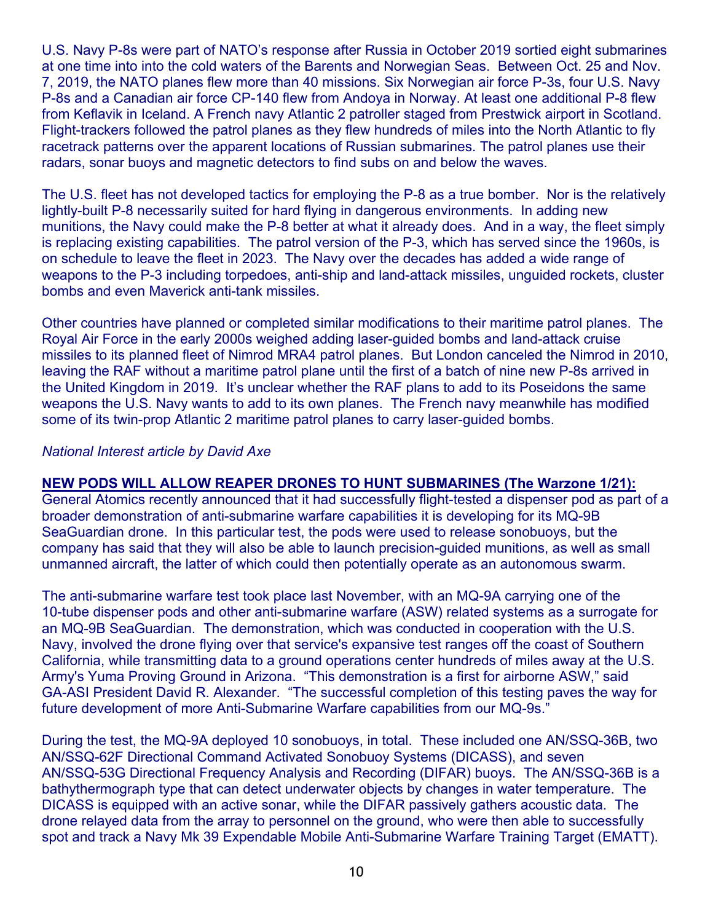U.S. Navy P-8s were part of NATO's response after Russia in October 2019 sortied eight submarines at one time into into the cold waters of the Barents and Norwegian Seas. Between Oct. 25 and Nov. 7, 2019, the NATO planes flew more than 40 missions. Six Norwegian air force P-3s, four U.S. Navy P-8s and a Canadian air force CP-140 flew from Andoya in Norway. At least one additional P-8 flew from Keflavik in Iceland. A French navy Atlantic 2 patroller staged from Prestwick airport in Scotland. Flight-trackers followed the patrol planes as they flew hundreds of miles into the North Atlantic to fly racetrack patterns over the apparent locations of Russian submarines. The patrol planes use their radars, sonar buoys and magnetic detectors to find subs on and below the waves.

The U.S. fleet has not developed tactics for employing the P-8 as a true bomber. Nor is the relatively lightly-built P-8 necessarily suited for hard flying in dangerous environments. In adding new munitions, the Navy could make the P-8 better at what it already does. And in a way, the fleet simply is replacing existing capabilities. The patrol version of the P-3, which has served since the 1960s, is on schedule to leave the fleet in 2023. The Navy over the decades has added a wide range of weapons to the P-3 including torpedoes, anti-ship and land-attack missiles, unguided rockets, cluster bombs and even Maverick anti-tank missiles.

Other countries have planned or completed similar modifications to their maritime patrol planes. The Royal Air Force in the early 2000s weighed adding laser-guided bombs and land-attack cruise missiles to its planned fleet of Nimrod MRA4 patrol planes. But London canceled the Nimrod in 2010, leaving the RAF without a maritime patrol plane until the first of a batch of nine new P-8s arrived in the United Kingdom in 2019. It's unclear whether the RAF plans to add to its Poseidons the same weapons the U.S. Navy wants to add to its own planes. The French navy meanwhile has modified some of its twin-prop Atlantic 2 maritime patrol planes to carry laser-guided bombs.

#### *National Interest article by David Axe*

#### **NEW PODS WILL ALLOW REAPER DRONES TO HUNT SUBMARINES (The Warzone 1/21):**

General Atomics recently announced that it had successfully flight-tested a dispenser pod as part of a broader demonstration of anti-submarine warfare capabilities it is developing for its MQ-9B SeaGuardian drone. In this particular test, the pods were used to release sonobuoys, but the company has said that they will also be able to launch precision-guided munitions, as well as small unmanned aircraft, the latter of which could then potentially operate as an autonomous swarm.

The anti-submarine warfare test took place last November, with an MQ-9A carrying one of the 10-tube dispenser pods and other anti-submarine warfare (ASW) related systems as a surrogate for an MQ-9B SeaGuardian. The demonstration, which was conducted in cooperation with the U.S. Navy, involved the drone flying over that service's expansive test ranges off the coast of Southern California, while transmitting data to a ground operations center hundreds of miles away at the U.S. Army's Yuma Proving Ground in Arizona. "This demonstration is a first for airborne ASW," said GA-ASI President David R. Alexander. "The successful completion of this testing paves the way for future development of more Anti-Submarine Warfare capabilities from our MQ-9s."

During the test, the MQ-9A deployed 10 sonobuoys, in total. These included one AN/SSQ-36B, two AN/SSQ-62F Directional Command Activated Sonobuoy Systems (DICASS), and seven AN/SSQ-53G Directional Frequency Analysis and Recording (DIFAR) buoys. The AN/SSQ-36B is a bathythermograph type that can detect underwater objects by changes in water temperature. The DICASS is equipped with an active sonar, while the DIFAR passively gathers acoustic data. The drone relayed data from the array to personnel on the ground, who were then able to successfully spot and track a Navy Mk 39 Expendable Mobile Anti-Submarine Warfare Training Target (EMATT).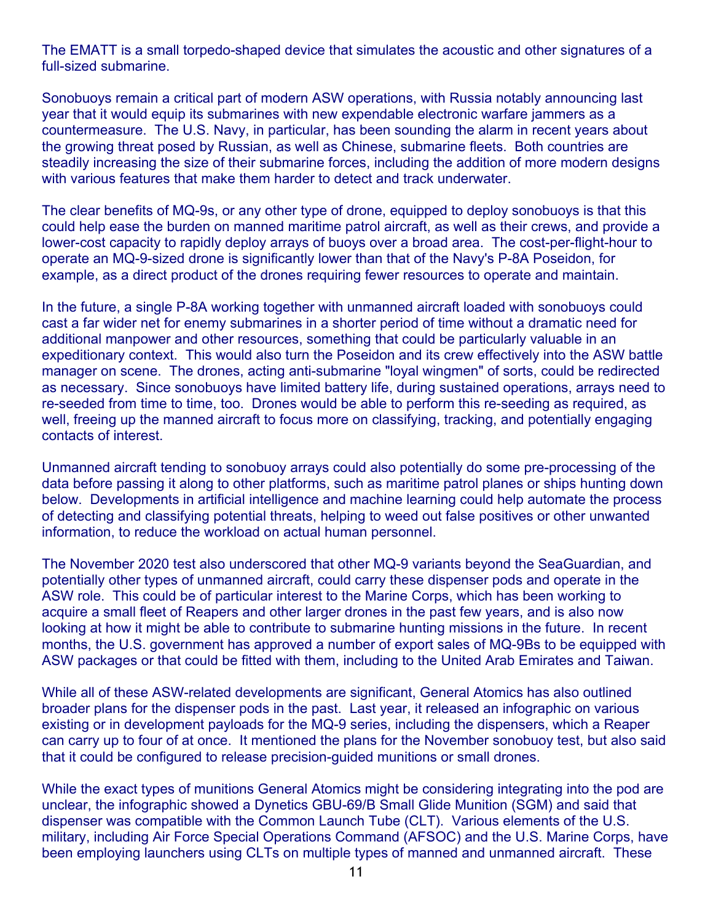The EMATT is a small torpedo-shaped device that simulates the acoustic and other signatures of a full-sized submarine.

Sonobuoys remain a critical part of modern ASW operations, with Russia notably announcing last year that it would equip its submarines with new expendable electronic warfare jammers as a countermeasure. The U.S. Navy, in particular, has been sounding the alarm in recent years about the growing threat posed by Russian, as well as Chinese, submarine fleets. Both countries are steadily increasing the size of their submarine forces, including the addition of more modern designs with various features that make them harder to detect and track underwater.

The clear benefits of MQ-9s, or any other type of drone, equipped to deploy sonobuoys is that this could help ease the burden on manned maritime patrol aircraft, as well as their crews, and provide a lower-cost capacity to rapidly deploy arrays of buoys over a broad area. The cost-per-flight-hour to operate an MQ-9-sized drone is significantly lower than that of the Navy's P-8A Poseidon, for example, as a direct product of the drones requiring fewer resources to operate and maintain.

In the future, a single P-8A working together with unmanned aircraft loaded with sonobuoys could cast a far wider net for enemy submarines in a shorter period of time without a dramatic need for additional manpower and other resources, something that could be particularly valuable in an expeditionary context. This would also turn the Poseidon and its crew effectively into the ASW battle manager on scene. The drones, acting anti-submarine "loyal wingmen" of sorts, could be redirected as necessary. Since sonobuoys have limited battery life, during sustained operations, arrays need to re-seeded from time to time, too. Drones would be able to perform this re-seeding as required, as well, freeing up the manned aircraft to focus more on classifying, tracking, and potentially engaging contacts of interest.

Unmanned aircraft tending to sonobuoy arrays could also potentially do some pre-processing of the data before passing it along to other platforms, such as maritime patrol planes or ships hunting down below. Developments in artificial intelligence and machine learning could help automate the process of detecting and classifying potential threats, helping to weed out false positives or other unwanted information, to reduce the workload on actual human personnel.

The November 2020 test also underscored that other MQ-9 variants beyond the SeaGuardian, and potentially other types of unmanned aircraft, could carry these dispenser pods and operate in the ASW role. This could be of particular interest to the Marine Corps, which has been working to acquire a small fleet of Reapers and other larger drones in the past few years, and is also now looking at how it might be able to contribute to submarine hunting missions in the future. In recent months, the U.S. government has approved a number of export sales of MQ-9Bs to be equipped with ASW packages or that could be fitted with them, including to the United Arab Emirates and Taiwan.

While all of these ASW-related developments are significant, General Atomics has also outlined broader plans for the dispenser pods in the past. Last year, it released an infographic on various existing or in development payloads for the MQ-9 series, including the dispensers, which a Reaper can carry up to four of at once. It mentioned the plans for the November sonobuoy test, but also said that it could be configured to release precision-guided munitions or small drones.

While the exact types of munitions General Atomics might be considering integrating into the pod are unclear, the infographic showed a Dynetics GBU-69/B Small Glide Munition (SGM) and said that dispenser was compatible with the Common Launch Tube (CLT). Various elements of the U.S. military, including Air Force Special Operations Command (AFSOC) and the U.S. Marine Corps, have been employing launchers using CLTs on multiple types of manned and unmanned aircraft. These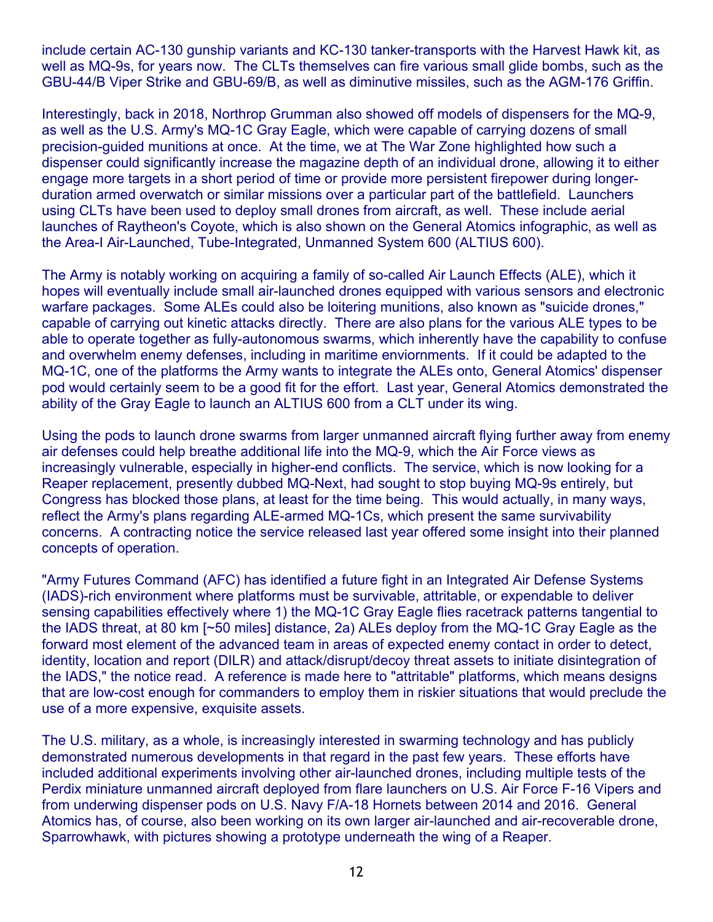include certain AC-130 gunship variants and KC-130 tanker-transports with the Harvest Hawk kit, as well as MQ-9s, for years now. The CLTs themselves can fire various small glide bombs, such as the GBU-44/B Viper Strike and GBU-69/B, as well as diminutive missiles, such as the AGM-176 Griffin.

Interestingly, back in 2018, Northrop Grumman also showed off models of dispensers for the MQ-9, as well as the U.S. Army's MQ-1C Gray Eagle, which were capable of carrying dozens of small precision-guided munitions at once. At the time, we at The War Zone highlighted how such a dispenser could significantly increase the magazine depth of an individual drone, allowing it to either engage more targets in a short period of time or provide more persistent firepower during longerduration armed overwatch or similar missions over a particular part of the battlefield. Launchers using CLTs have been used to deploy small drones from aircraft, as well. These include aerial launches of Raytheon's Coyote, which is also shown on the General Atomics infographic, as well as the Area-I Air-Launched, Tube-Integrated, Unmanned System 600 (ALTIUS 600).

The Army is notably working on acquiring a family of so-called Air Launch Effects (ALE), which it hopes will eventually include small air-launched drones equipped with various sensors and electronic warfare packages. Some ALEs could also be loitering munitions, also known as "suicide drones," capable of carrying out kinetic attacks directly. There are also plans for the various ALE types to be able to operate together as fully-autonomous swarms, which inherently have the capability to confuse and overwhelm enemy defenses, including in maritime enviornments. If it could be adapted to the MQ-1C, one of the platforms the Army wants to integrate the ALEs onto, General Atomics' dispenser pod would certainly seem to be a good fit for the effort. Last year, General Atomics demonstrated the ability of the Gray Eagle to launch an ALTIUS 600 from a CLT under its wing.

Using the pods to launch drone swarms from larger unmanned aircraft flying further away from enemy air defenses could help breathe additional life into the MQ-9, which the Air Force views as increasingly vulnerable, especially in higher-end conflicts. The service, which is now looking for a Reaper replacement, presently dubbed MQ-Next, had sought to stop buying MQ-9s entirely, but Congress has blocked those plans, at least for the time being. This would actually, in many ways, reflect the Army's plans regarding ALE-armed MQ-1Cs, which present the same survivability concerns. A contracting notice the service released last year offered some insight into their planned concepts of operation.

"Army Futures Command (AFC) has identified a future fight in an Integrated Air Defense Systems (IADS)-rich environment where platforms must be survivable, attritable, or expendable to deliver sensing capabilities effectively where 1) the MQ-1C Gray Eagle flies racetrack patterns tangential to the IADS threat, at 80 km [~50 miles] distance, 2a) ALEs deploy from the MQ-1C Gray Eagle as the forward most element of the advanced team in areas of expected enemy contact in order to detect, identity, location and report (DILR) and attack/disrupt/decoy threat assets to initiate disintegration of the IADS," the notice read. A reference is made here to "attritable" platforms, which means designs that are low-cost enough for commanders to employ them in riskier situations that would preclude the use of a more expensive, exquisite assets.

The U.S. military, as a whole, is increasingly interested in swarming technology and has publicly demonstrated numerous developments in that regard in the past few years. These efforts have included additional experiments involving other air-launched drones, including multiple tests of the Perdix miniature unmanned aircraft deployed from flare launchers on U.S. Air Force F-16 Vipers and from underwing dispenser pods on U.S. Navy F/A-18 Hornets between 2014 and 2016. General Atomics has, of course, also been working on its own larger air-launched and air-recoverable drone, Sparrowhawk, with pictures showing a prototype underneath the wing of a Reaper.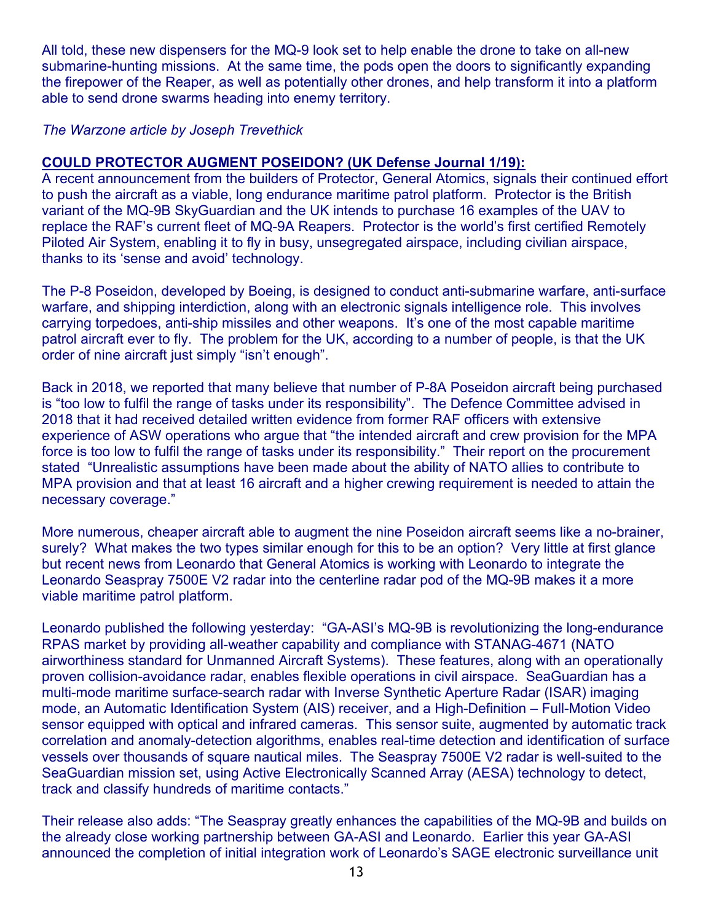All told, these new dispensers for the MQ-9 look set to help enable the drone to take on all-new submarine-hunting missions. At the same time, the pods open the doors to significantly expanding the firepower of the Reaper, as well as potentially other drones, and help transform it into a platform able to send drone swarms heading into enemy territory.

#### *The Warzone article by Joseph Trevethick*

#### **COULD PROTECTOR AUGMENT POSEIDON? (UK Defense Journal 1/19):**

A recent announcement from the builders of Protector, General Atomics, signals their continued effort to push the aircraft as a viable, long endurance maritime patrol platform. Protector is the British variant of the MQ-9B SkyGuardian and the UK intends to purchase 16 examples of the UAV to replace the RAF's current fleet of MQ-9A Reapers. Protector is the world's first certified Remotely Piloted Air System, enabling it to fly in busy, unsegregated airspace, including civilian airspace, thanks to its 'sense and avoid' technology.

The P-8 Poseidon, developed by Boeing, is designed to conduct anti-submarine warfare, anti-surface warfare, and shipping interdiction, along with an electronic signals intelligence role. This involves carrying torpedoes, anti-ship missiles and other weapons. It's one of the most capable maritime patrol aircraft ever to fly. The problem for the UK, according to a number of people, is that the UK order of nine aircraft just simply "isn't enough".

Back in 2018, we reported that many believe that number of P-8A Poseidon aircraft being purchased is "too low to fulfil the range of tasks under its responsibility". The Defence Committee advised in 2018 that it had received detailed written evidence from former RAF officers with extensive experience of ASW operations who argue that "the intended aircraft and crew provision for the MPA force is too low to fulfil the range of tasks under its responsibility." Their report on the procurement stated "Unrealistic assumptions have been made about the ability of NATO allies to contribute to MPA provision and that at least 16 aircraft and a higher crewing requirement is needed to attain the necessary coverage."

More numerous, cheaper aircraft able to augment the nine Poseidon aircraft seems like a no-brainer, surely? What makes the two types similar enough for this to be an option? Very little at first glance but recent news from Leonardo that General Atomics is working with Leonardo to integrate the Leonardo Seaspray 7500E V2 radar into the centerline radar pod of the MQ-9B makes it a more viable maritime patrol platform.

Leonardo published the following yesterday: "GA-ASI's MQ-9B is revolutionizing the long-endurance RPAS market by providing all-weather capability and compliance with STANAG-4671 (NATO airworthiness standard for Unmanned Aircraft Systems). These features, along with an operationally proven collision-avoidance radar, enables flexible operations in civil airspace. SeaGuardian has a multi-mode maritime surface-search radar with Inverse Synthetic Aperture Radar (ISAR) imaging mode, an Automatic Identification System (AIS) receiver, and a High-Definition – Full-Motion Video sensor equipped with optical and infrared cameras. This sensor suite, augmented by automatic track correlation and anomaly-detection algorithms, enables real-time detection and identification of surface vessels over thousands of square nautical miles. The Seaspray 7500E V2 radar is well-suited to the SeaGuardian mission set, using Active Electronically Scanned Array (AESA) technology to detect, track and classify hundreds of maritime contacts."

Their release also adds: "The Seaspray greatly enhances the capabilities of the MQ-9B and builds on the already close working partnership between GA-ASI and Leonardo. Earlier this year GA-ASI announced the completion of initial integration work of Leonardo's SAGE electronic surveillance unit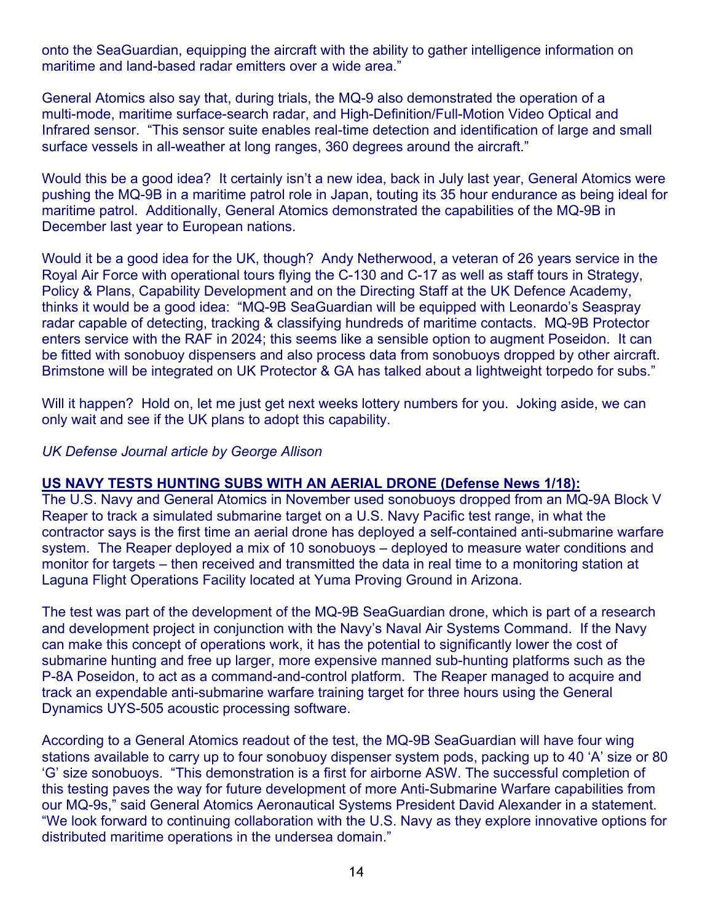onto the SeaGuardian, equipping the aircraft with the ability to gather intelligence information on maritime and land-based radar emitters over a wide area."

General Atomics also say that, during trials, the MQ-9 also demonstrated the operation of a multi-mode, maritime surface-search radar, and High-Definition/Full-Motion Video Optical and Infrared sensor. "This sensor suite enables real-time detection and identification of large and small surface vessels in all-weather at long ranges, 360 degrees around the aircraft."

Would this be a good idea? It certainly isn't a new idea, back in July last year, General Atomics were pushing the MQ-9B in a maritime patrol role in Japan, touting its 35 hour endurance as being ideal for maritime patrol. Additionally, General Atomics demonstrated the capabilities of the MQ-9B in December last year to European nations.

Would it be a good idea for the UK, though? Andy Netherwood, a veteran of 26 years service in the Royal Air Force with operational tours flying the C-130 and C-17 as well as staff tours in Strategy, Policy & Plans, Capability Development and on the Directing Staff at the UK Defence Academy, thinks it would be a good idea: "MQ-9B SeaGuardian will be equipped with Leonardo's Seaspray radar capable of detecting, tracking & classifying hundreds of maritime contacts. MQ-9B Protector enters service with the RAF in 2024; this seems like a sensible option to augment Poseidon. It can be fitted with sonobuoy dispensers and also process data from sonobuoys dropped by other aircraft. Brimstone will be integrated on UK Protector & GA has talked about a lightweight torpedo for subs."

Will it happen? Hold on, let me just get next weeks lottery numbers for you. Joking aside, we can only wait and see if the UK plans to adopt this capability.

#### *UK Defense Journal article by George Allison*

#### **US NAVY TESTS HUNTING SUBS WITH AN AERIAL DRONE (Defense News 1/18):**

The U.S. Navy and General Atomics in November used sonobuoys dropped from an MQ-9A Block V Reaper to track a simulated submarine target on a U.S. Navy Pacific test range, in what the contractor says is the first time an aerial drone has deployed a self-contained anti-submarine warfare system. The Reaper deployed a mix of 10 sonobuoys – deployed to measure water conditions and monitor for targets – then received and transmitted the data in real time to a monitoring station at Laguna Flight Operations Facility located at Yuma Proving Ground in Arizona.

The test was part of the development of the MQ-9B SeaGuardian drone, which is part of a research and development project in conjunction with the Navy's Naval Air Systems Command. If the Navy can make this concept of operations work, it has the potential to significantly lower the cost of submarine hunting and free up larger, more expensive manned sub-hunting platforms such as the P-8A Poseidon, to act as a command-and-control platform. The Reaper managed to acquire and track an expendable anti-submarine warfare training target for three hours using the General Dynamics UYS-505 acoustic processing software.

According to a General Atomics readout of the test, the MQ-9B SeaGuardian will have four wing stations available to carry up to four sonobuoy dispenser system pods, packing up to 40 'A' size or 80 'G' size sonobuoys. "This demonstration is a first for airborne ASW. The successful completion of this testing paves the way for future development of more Anti-Submarine Warfare capabilities from our MQ-9s," said General Atomics Aeronautical Systems President David Alexander in a statement. "We look forward to continuing collaboration with the U.S. Navy as they explore innovative options for distributed maritime operations in the undersea domain."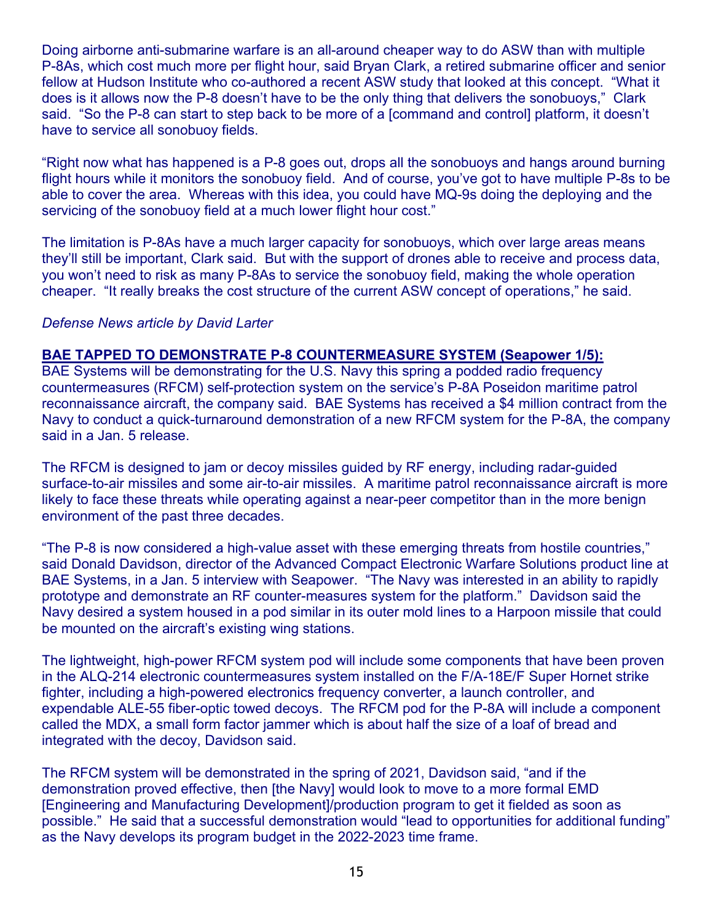Doing airborne anti-submarine warfare is an all-around cheaper way to do ASW than with multiple P-8As, which cost much more per flight hour, said Bryan Clark, a retired submarine officer and senior fellow at Hudson Institute who co-authored a recent ASW study that looked at this concept. "What it does is it allows now the P-8 doesn't have to be the only thing that delivers the sonobuoys," Clark said. "So the P-8 can start to step back to be more of a [command and control] platform, it doesn't have to service all sonobuoy fields.

"Right now what has happened is a P-8 goes out, drops all the sonobuoys and hangs around burning flight hours while it monitors the sonobuoy field. And of course, you've got to have multiple P-8s to be able to cover the area. Whereas with this idea, you could have MQ-9s doing the deploying and the servicing of the sonobuoy field at a much lower flight hour cost."

The limitation is P-8As have a much larger capacity for sonobuoys, which over large areas means they'll still be important, Clark said. But with the support of drones able to receive and process data, you won't need to risk as many P-8As to service the sonobuoy field, making the whole operation cheaper. "It really breaks the cost structure of the current ASW concept of operations," he said.

#### *Defense News article by David Larter*

### **BAE TAPPED TO DEMONSTRATE P-8 COUNTERMEASURE SYSTEM (Seapower 1/5):**

BAE Systems will be demonstrating for the U.S. Navy this spring a podded radio frequency countermeasures (RFCM) self-protection system on the service's P-8A Poseidon maritime patrol reconnaissance aircraft, the company said. BAE Systems has received a \$4 million contract from the Navy to conduct a quick-turnaround demonstration of a new RFCM system for the P-8A, the company said in a Jan. 5 release.

The RFCM is designed to jam or decoy missiles guided by RF energy, including radar-guided surface-to-air missiles and some air-to-air missiles. A maritime patrol reconnaissance aircraft is more likely to face these threats while operating against a near-peer competitor than in the more benign environment of the past three decades.

"The P-8 is now considered a high-value asset with these emerging threats from hostile countries," said Donald Davidson, director of the Advanced Compact Electronic Warfare Solutions product line at BAE Systems, in a Jan. 5 interview with Seapower. "The Navy was interested in an ability to rapidly prototype and demonstrate an RF counter-measures system for the platform." Davidson said the Navy desired a system housed in a pod similar in its outer mold lines to a Harpoon missile that could be mounted on the aircraft's existing wing stations.

The lightweight, high-power RFCM system pod will include some components that have been proven in the ALQ-214 electronic countermeasures system installed on the F/A-18E/F Super Hornet strike fighter, including a high-powered electronics frequency converter, a launch controller, and expendable ALE-55 fiber-optic towed decoys. The RFCM pod for the P-8A will include a component called the MDX, a small form factor jammer which is about half the size of a loaf of bread and integrated with the decoy, Davidson said.

The RFCM system will be demonstrated in the spring of 2021, Davidson said, "and if the demonstration proved effective, then [the Navy] would look to move to a more formal EMD [Engineering and Manufacturing Development]/production program to get it fielded as soon as possible." He said that a successful demonstration would "lead to opportunities for additional funding" as the Navy develops its program budget in the 2022-2023 time frame.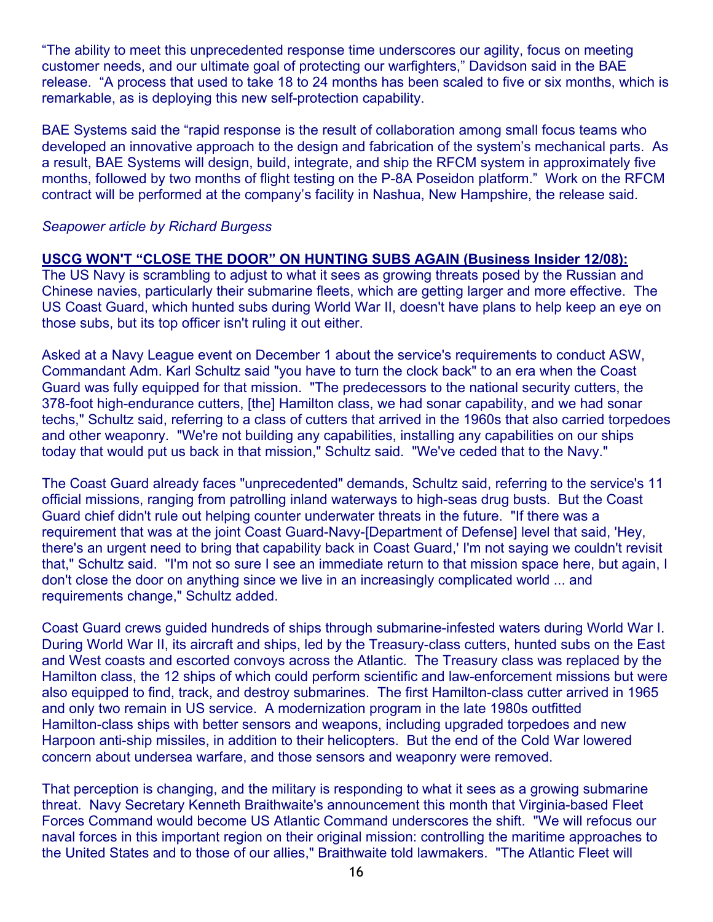"The ability to meet this unprecedented response time underscores our agility, focus on meeting customer needs, and our ultimate goal of protecting our warfighters," Davidson said in the BAE release. "A process that used to take 18 to 24 months has been scaled to five or six months, which is remarkable, as is deploying this new self-protection capability.

BAE Systems said the "rapid response is the result of collaboration among small focus teams who developed an innovative approach to the design and fabrication of the system's mechanical parts. As a result, BAE Systems will design, build, integrate, and ship the RFCM system in approximately five months, followed by two months of flight testing on the P-8A Poseidon platform." Work on the RFCM contract will be performed at the company's facility in Nashua, New Hampshire, the release said.

#### *Seapower article by Richard Burgess*

**USCG WON'T "CLOSE THE DOOR" ON HUNTING SUBS AGAIN (Business Insider 12/08):** The US Navy is scrambling to adjust to what it sees as growing threats posed by the Russian and Chinese navies, particularly their submarine fleets, which are getting larger and more effective. The US Coast Guard, which hunted subs during World War II, doesn't have plans to help keep an eye on those subs, but its top officer isn't ruling it out either.

Asked at a Navy League event on December 1 about the service's requirements to conduct ASW, Commandant Adm. Karl Schultz said "you have to turn the clock back" to an era when the Coast Guard was fully equipped for that mission. "The predecessors to the national security cutters, the 378-foot high-endurance cutters, [the] Hamilton class, we had sonar capability, and we had sonar techs," Schultz said, referring to a class of cutters that arrived in the 1960s that also carried torpedoes and other weaponry. "We're not building any capabilities, installing any capabilities on our ships today that would put us back in that mission," Schultz said. "We've ceded that to the Navy."

The Coast Guard already faces "unprecedented" demands, Schultz said, referring to the service's 11 official missions, ranging from patrolling inland waterways to high-seas drug busts. But the Coast Guard chief didn't rule out helping counter underwater threats in the future. "If there was a requirement that was at the joint Coast Guard-Navy-[Department of Defense] level that said, 'Hey, there's an urgent need to bring that capability back in Coast Guard,' I'm not saying we couldn't revisit that," Schultz said. "I'm not so sure I see an immediate return to that mission space here, but again, I don't close the door on anything since we live in an increasingly complicated world ... and requirements change," Schultz added.

Coast Guard crews guided hundreds of ships through submarine-infested waters during World War I. During World War II, its aircraft and ships, led by the Treasury-class cutters, hunted subs on the East and West coasts and escorted convoys across the Atlantic. The Treasury class was replaced by the Hamilton class, the 12 ships of which could perform scientific and law-enforcement missions but were also equipped to find, track, and destroy submarines. The first Hamilton-class cutter arrived in 1965 and only two remain in US service. A modernization program in the late 1980s outfitted Hamilton-class ships with better sensors and weapons, including upgraded torpedoes and new Harpoon anti-ship missiles, in addition to their helicopters. But the end of the Cold War lowered concern about undersea warfare, and those sensors and weaponry were removed.

That perception is changing, and the military is responding to what it sees as a growing submarine threat. Navy Secretary Kenneth Braithwaite's announcement this month that Virginia-based Fleet Forces Command would become US Atlantic Command underscores the shift. "We will refocus our naval forces in this important region on their original mission: controlling the maritime approaches to the United States and to those of our allies," Braithwaite told lawmakers. "The Atlantic Fleet will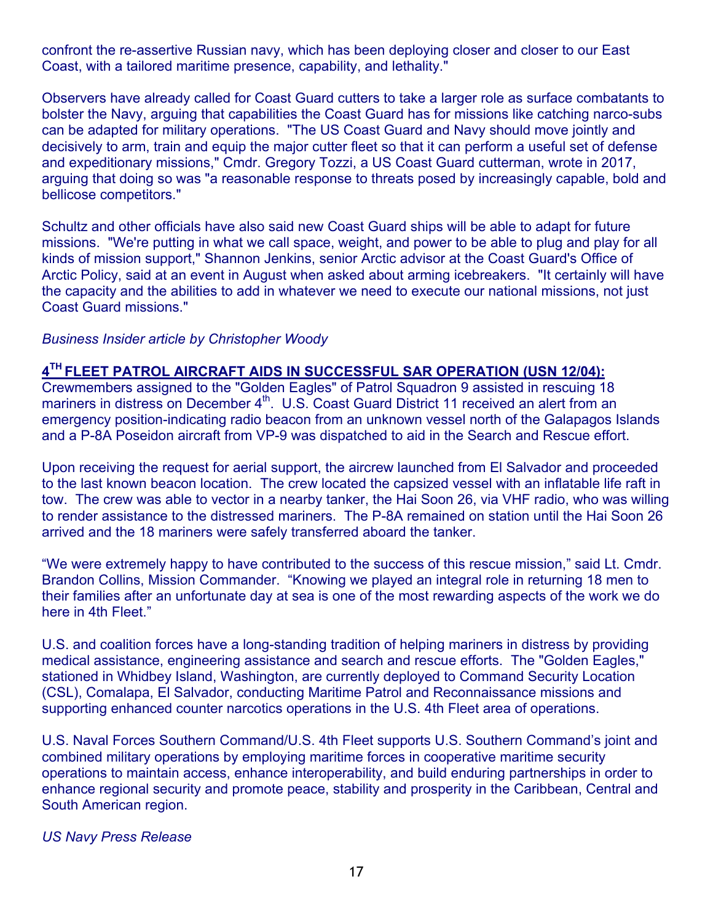confront the re-assertive Russian navy, which has been deploying closer and closer to our East Coast, with a tailored maritime presence, capability, and lethality."

Observers have already called for Coast Guard cutters to take a larger role as surface combatants to bolster the Navy, arguing that capabilities the Coast Guard has for missions like catching narco-subs can be adapted for military operations. "The US Coast Guard and Navy should move jointly and decisively to arm, train and equip the major cutter fleet so that it can perform a useful set of defense and expeditionary missions," Cmdr. Gregory Tozzi, a US Coast Guard cutterman, wrote in 2017, arguing that doing so was "a reasonable response to threats posed by increasingly capable, bold and bellicose competitors."

Schultz and other officials have also said new Coast Guard ships will be able to adapt for future missions. "We're putting in what we call space, weight, and power to be able to plug and play for all kinds of mission support," Shannon Jenkins, senior Arctic advisor at the Coast Guard's Office of Arctic Policy, said at an event in August when asked about arming icebreakers. "It certainly will have the capacity and the abilities to add in whatever we need to execute our national missions, not just Coast Guard missions."

#### *Business Insider article by Christopher Woody*

#### **4TH FLEET PATROL AIRCRAFT AIDS IN SUCCESSFUL SAR OPERATION (USN 12/04):**

Crewmembers assigned to the "Golden Eagles" of Patrol Squadron 9 assisted in rescuing 18 mariners in distress on December 4<sup>th</sup>. U.S. Coast Guard District 11 received an alert from an emergency position-indicating radio beacon from an unknown vessel north of the Galapagos Islands and a P-8A Poseidon aircraft from VP-9 was dispatched to aid in the Search and Rescue effort.

Upon receiving the request for aerial support, the aircrew launched from El Salvador and proceeded to the last known beacon location. The crew located the capsized vessel with an inflatable life raft in tow. The crew was able to vector in a nearby tanker, the Hai Soon 26, via VHF radio, who was willing to render assistance to the distressed mariners. The P-8A remained on station until the Hai Soon 26 arrived and the 18 mariners were safely transferred aboard the tanker.

"We were extremely happy to have contributed to the success of this rescue mission," said Lt. Cmdr. Brandon Collins, Mission Commander. "Knowing we played an integral role in returning 18 men to their families after an unfortunate day at sea is one of the most rewarding aspects of the work we do here in 4th Fleet."

U.S. and coalition forces have a long-standing tradition of helping mariners in distress by providing medical assistance, engineering assistance and search and rescue efforts. The "Golden Eagles," stationed in Whidbey Island, Washington, are currently deployed to Command Security Location (CSL), Comalapa, El Salvador, conducting Maritime Patrol and Reconnaissance missions and supporting enhanced counter narcotics operations in the U.S. 4th Fleet area of operations.

U.S. Naval Forces Southern Command/U.S. 4th Fleet supports U.S. Southern Command's joint and combined military operations by employing maritime forces in cooperative maritime security operations to maintain access, enhance interoperability, and build enduring partnerships in order to enhance regional security and promote peace, stability and prosperity in the Caribbean, Central and South American region.

#### *US Navy Press Release*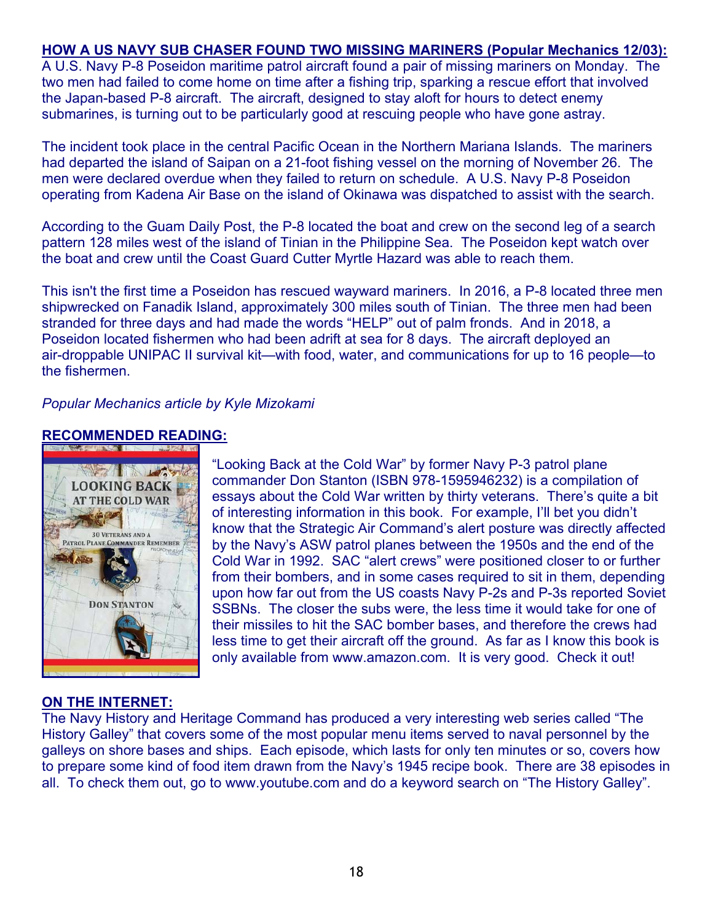# **HOW A US NAVY SUB CHASER FOUND TWO MISSING MARINERS (Popular Mechanics 12/03):**

A U.S. Navy P-8 Poseidon maritime patrol aircraft found a pair of missing mariners on Monday. The two men had failed to come home on time after a fishing trip, sparking a rescue effort that involved the Japan-based P-8 aircraft. The aircraft, designed to stay aloft for hours to detect enemy submarines, is turning out to be particularly good at rescuing people who have gone astray.

The incident took place in the central Pacific Ocean in the Northern Mariana Islands. The mariners had departed the island of Saipan on a 21-foot fishing vessel on the morning of November 26. The men were declared overdue when they failed to return on schedule. A U.S. Navy P-8 Poseidon operating from Kadena Air Base on the island of Okinawa was dispatched to assist with the search.

According to the Guam Daily Post, the P-8 located the boat and crew on the second leg of a search pattern 128 miles west of the island of Tinian in the Philippine Sea. The Poseidon kept watch over the boat and crew until the Coast Guard Cutter Myrtle Hazard was able to reach them.

This isn't the first time a Poseidon has rescued wayward mariners. In 2016, a P-8 located three men shipwrecked on Fanadik Island, approximately 300 miles south of Tinian. The three men had been stranded for three days and had made the words "HELP" out of palm fronds. And in 2018, a Poseidon located fishermen who had been adrift at sea for 8 days. The aircraft deployed an air-droppable UNIPAC II survival kit—with food, water, and communications for up to 16 people—to the fishermen.

*Popular Mechanics article by Kyle Mizokami* 



# **RECOMMENDED READING:**

"Looking Back at the Cold War" by former Navy P-3 patrol plane commander Don Stanton (ISBN 978-1595946232) is a compilation of essays about the Cold War written by thirty veterans. There's quite a bit of interesting information in this book. For example, I'll bet you didn't know that the Strategic Air Command's alert posture was directly affected by the Navy's ASW patrol planes between the 1950s and the end of the Cold War in 1992. SAC "alert crews" were positioned closer to or further from their bombers, and in some cases required to sit in them, depending upon how far out from the US coasts Navy P-2s and P-3s reported Soviet SSBNs. The closer the subs were, the less time it would take for one of their missiles to hit the SAC bomber bases, and therefore the crews had less time to get their aircraft off the ground. As far as I know this book is only available from www.amazon.com. It is very good. Check it out!

#### **ON THE INTERNET:**

The Navy History and Heritage Command has produced a very interesting web series called "The History Galley" that covers some of the most popular menu items served to naval personnel by the galleys on shore bases and ships. Each episode, which lasts for only ten minutes or so, covers how to prepare some kind of food item drawn from the Navy's 1945 recipe book. There are 38 episodes in all. To check them out, go to www.youtube.com and do a keyword search on "The History Galley".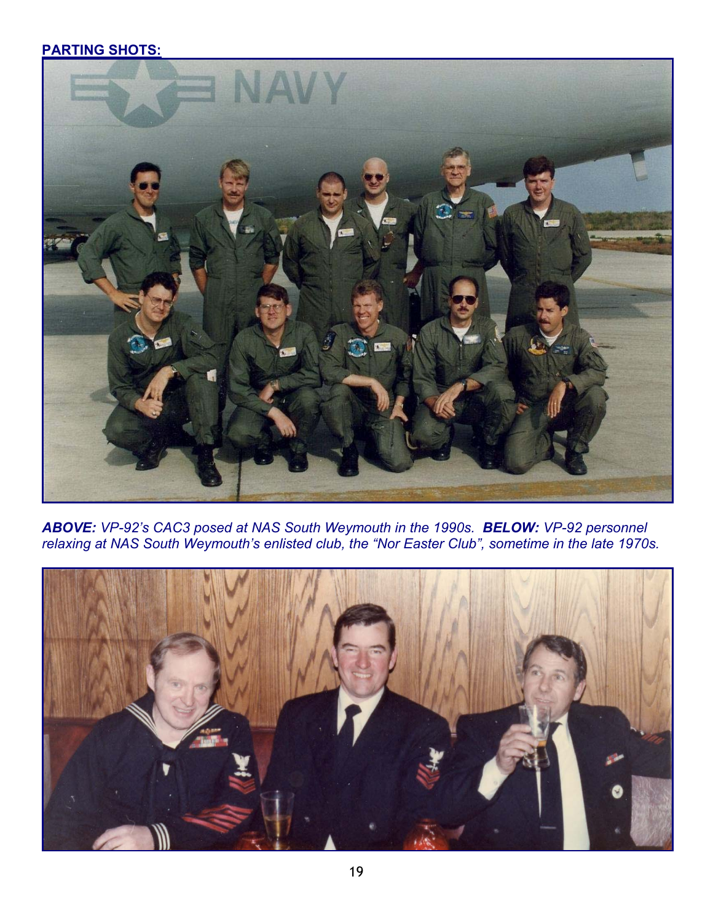# **PARTING SHOTS:**



*ABOVE: VP-92's CAC3 posed at NAS South Weymouth in the 1990s. BELOW: VP-92 personnel relaxing at NAS South Weymouth's enlisted club, the "Nor Easter Club", sometime in the late 1970s.*